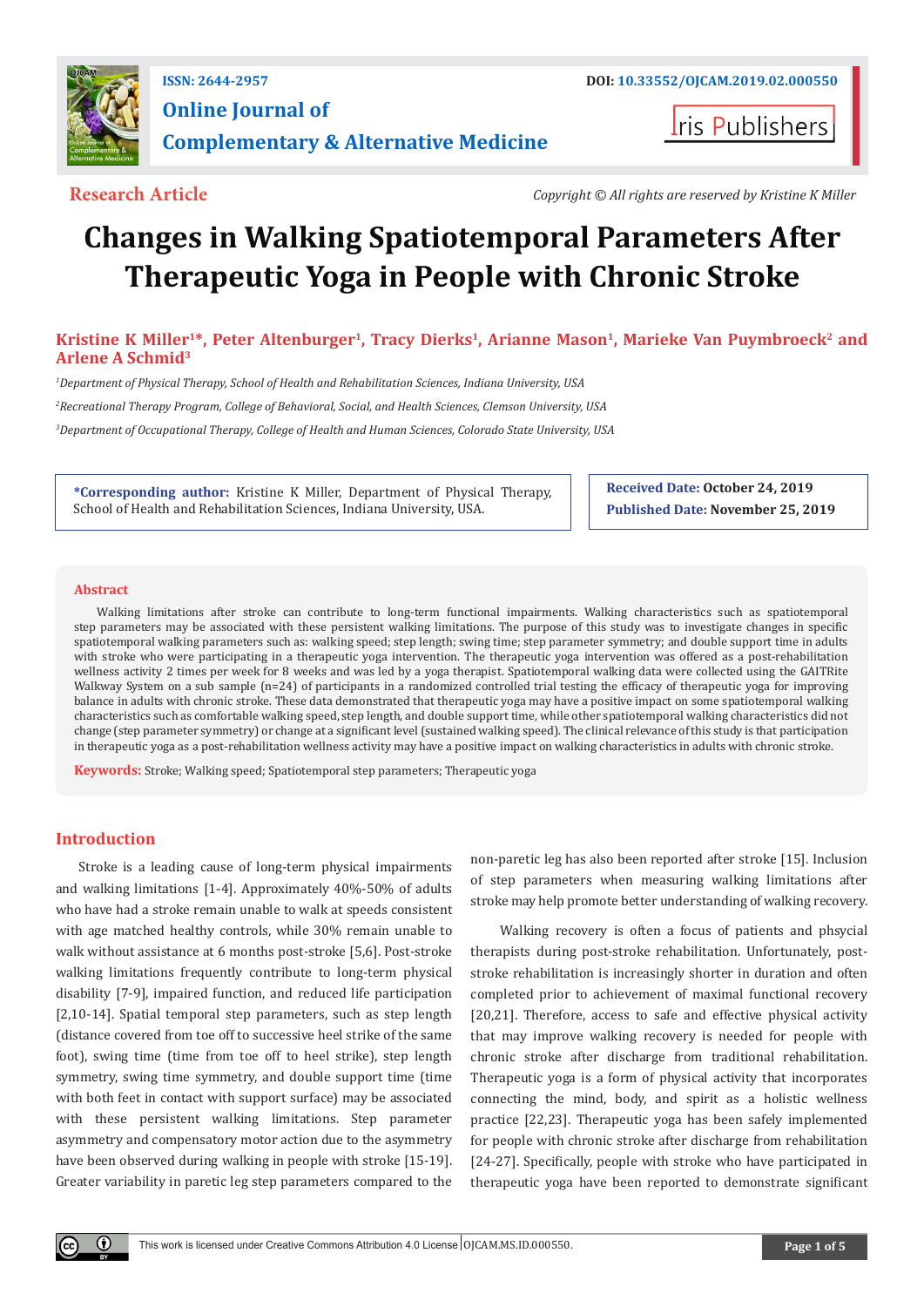

## **ISSN: 2644-2957 DOI: [10.33552/OJCAM.2019.02.000550](http://dx.doi.org/10.33552/OJCAM.2019.02.000550) Online Journal of Complementary & Alternative Medicine**

**Iris Publishers** 

**Research Article** *Copyright © All rights are reserved by Kristine K Miller*

# **Changes in Walking Spatiotemporal Parameters After Therapeutic Yoga in People with Chronic Stroke**

Kristine K Miller<sup>1\*</sup>, Peter Altenburger<sup>1</sup>, Tracy Dierks<sup>1</sup>, Arianne Mason<sup>1</sup>, Marieke Van Puymbroeck<sup>2</sup> and **Arlene A Schmid3**

*1 Department of Physical Therapy, School of Health and Rehabilitation Sciences, Indiana University, USA 2 Recreational Therapy Program, College of Behavioral, Social, and Health Sciences, Clemson University, USA 3 Department of Occupational Therapy, College of Health and Human Sciences, Colorado State University, USA*

**\*Corresponding author:** Kristine K Miller, Department of Physical Therapy, School of Health and Rehabilitation Sciences, Indiana University, USA.

**Received Date: October 24, 2019 Published Date: November 25, 2019**

#### **Abstract**

Walking limitations after stroke can contribute to long-term functional impairments. Walking characteristics such as spatiotemporal step parameters may be associated with these persistent walking limitations. The purpose of this study was to investigate changes in specific spatiotemporal walking parameters such as: walking speed; step length; swing time; step parameter symmetry; and double support time in adults with stroke who were participating in a therapeutic yoga intervention. The therapeutic yoga intervention was offered as a post-rehabilitation wellness activity 2 times per week for 8 weeks and was led by a yoga therapist. Spatiotemporal walking data were collected using the GAITRite Walkway System on a sub sample (n=24) of participants in a randomized controlled trial testing the efficacy of therapeutic yoga for improving balance in adults with chronic stroke. These data demonstrated that therapeutic yoga may have a positive impact on some spatiotemporal walking characteristics such as comfortable walking speed, step length, and double support time, while other spatiotemporal walking characteristics did not change (step parameter symmetry) or change at a significant level (sustained walking speed). The clinical relevance of this study is that participation in therapeutic yoga as a post-rehabilitation wellness activity may have a positive impact on walking characteristics in adults with chronic stroke.

**Keywords:** Stroke; Walking speed; Spatiotemporal step parameters; Therapeutic yoga

### **Introduction**

Stroke is a leading cause of long-term physical impairments and walking limitations [1-4]. Approximately 40%-50% of adults who have had a stroke remain unable to walk at speeds consistent with age matched healthy controls, while 30% remain unable to walk without assistance at 6 months post-stroke [5,6]. Post-stroke walking limitations frequently contribute to long-term physical disability [7-9], impaired function, and reduced life participation [2,10-14]. Spatial temporal step parameters, such as step length (distance covered from toe off to successive heel strike of the same foot), swing time (time from toe off to heel strike), step length symmetry, swing time symmetry, and double support time (time with both feet in contact with support surface) may be associated with these persistent walking limitations. Step parameter asymmetry and compensatory motor action due to the asymmetry have been observed during walking in people with stroke [15-19]. Greater variability in paretic leg step parameters compared to the non-paretic leg has also been reported after stroke [15]. Inclusion of step parameters when measuring walking limitations after stroke may help promote better understanding of walking recovery.

 Walking recovery is often a focus of patients and phsycial therapists during post-stroke rehabilitation. Unfortunately, poststroke rehabilitation is increasingly shorter in duration and often completed prior to achievement of maximal functional recovery [20,21]. Therefore, access to safe and effective physical activity that may improve walking recovery is needed for people with chronic stroke after discharge from traditional rehabilitation. Therapeutic yoga is a form of physical activity that incorporates connecting the mind, body, and spirit as a holistic wellness practice [22,23]. Therapeutic yoga has been safely implemented for people with chronic stroke after discharge from rehabilitation [24-27]. Specifically, people with stroke who have participated in therapeutic yoga have been reported to demonstrate significant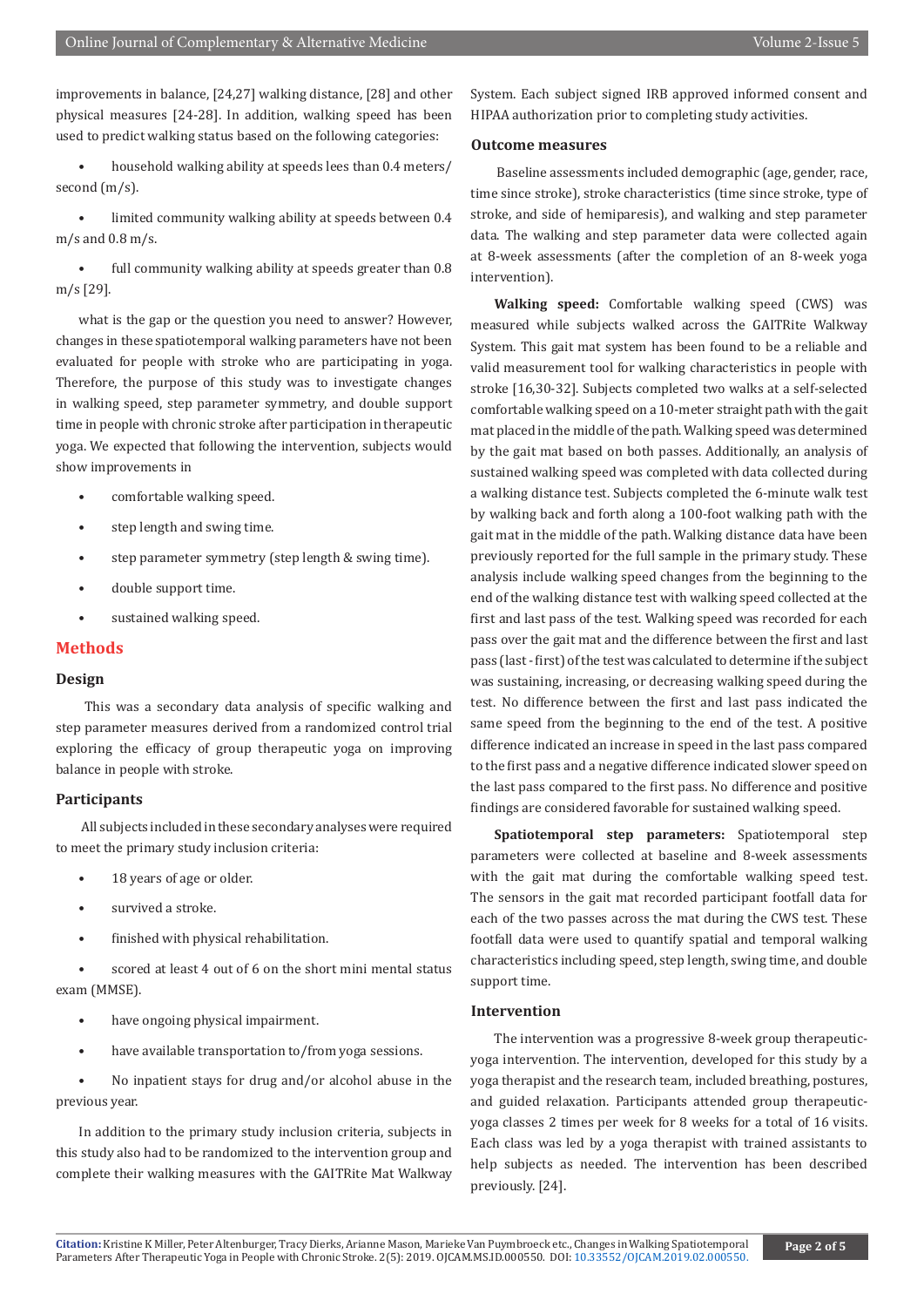improvements in balance, [24,27] walking distance, [28] and other physical measures [24-28]. In addition, walking speed has been used to predict walking status based on the following categories:

• household walking ability at speeds lees than 0.4 meters/ second (m/s).

limited community walking ability at speeds between 0.4 m/s and 0.8 m/s.

full community walking ability at speeds greater than 0.8 m/s [29].

what is the gap or the question you need to answer? However, changes in these spatiotemporal walking parameters have not been evaluated for people with stroke who are participating in yoga. Therefore, the purpose of this study was to investigate changes in walking speed, step parameter symmetry, and double support time in people with chronic stroke after participation in therapeutic yoga. We expected that following the intervention, subjects would show improvements in

- comfortable walking speed.
- step length and swing time.
- step parameter symmetry (step length & swing time).
- double support time.
- sustained walking speed.

#### **Methods**

#### **Design**

 This was a secondary data analysis of specific walking and step parameter measures derived from a randomized control trial exploring the efficacy of group therapeutic yoga on improving balance in people with stroke.

#### **Participants**

 All subjects included in these secondary analyses were required to meet the primary study inclusion criteria:

- 18 years of age or older.
- survived a stroke.
- finished with physical rehabilitation.

scored at least 4 out of 6 on the short mini mental status exam (MMSE).

- have ongoing physical impairment.
- have available transportation to/from yoga sessions.

• No inpatient stays for drug and/or alcohol abuse in the previous year.

In addition to the primary study inclusion criteria, subjects in this study also had to be randomized to the intervention group and complete their walking measures with the GAITRite Mat Walkway System. Each subject signed IRB approved informed consent and HIPAA authorization prior to completing study activities.

#### **Outcome measures**

 Baseline assessments included demographic (age, gender, race, time since stroke), stroke characteristics (time since stroke, type of stroke, and side of hemiparesis), and walking and step parameter data. The walking and step parameter data were collected again at 8-week assessments (after the completion of an 8-week yoga intervention).

**Walking speed:** Comfortable walking speed (CWS) was measured while subjects walked across the GAITRite Walkway System. This gait mat system has been found to be a reliable and valid measurement tool for walking characteristics in people with stroke [16,30-32]. Subjects completed two walks at a self-selected comfortable walking speed on a 10-meter straight path with the gait mat placed in the middle of the path. Walking speed was determined by the gait mat based on both passes. Additionally, an analysis of sustained walking speed was completed with data collected during a walking distance test. Subjects completed the 6-minute walk test by walking back and forth along a 100-foot walking path with the gait mat in the middle of the path. Walking distance data have been previously reported for the full sample in the primary study. These analysis include walking speed changes from the beginning to the end of the walking distance test with walking speed collected at the first and last pass of the test. Walking speed was recorded for each pass over the gait mat and the difference between the first and last pass (last - first) of the test was calculated to determine if the subject was sustaining, increasing, or decreasing walking speed during the test. No difference between the first and last pass indicated the same speed from the beginning to the end of the test. A positive difference indicated an increase in speed in the last pass compared to the first pass and a negative difference indicated slower speed on the last pass compared to the first pass. No difference and positive findings are considered favorable for sustained walking speed.

**Spatiotemporal step parameters:** Spatiotemporal step parameters were collected at baseline and 8-week assessments with the gait mat during the comfortable walking speed test. The sensors in the gait mat recorded participant footfall data for each of the two passes across the mat during the CWS test. These footfall data were used to quantify spatial and temporal walking characteristics including speed, step length, swing time, and double support time.

#### **Intervention**

The intervention was a progressive 8-week group therapeuticyoga intervention. The intervention, developed for this study by a yoga therapist and the research team, included breathing, postures, and guided relaxation. Participants attended group therapeuticyoga classes 2 times per week for 8 weeks for a total of 16 visits. Each class was led by a yoga therapist with trained assistants to help subjects as needed. The intervention has been described previously. [24].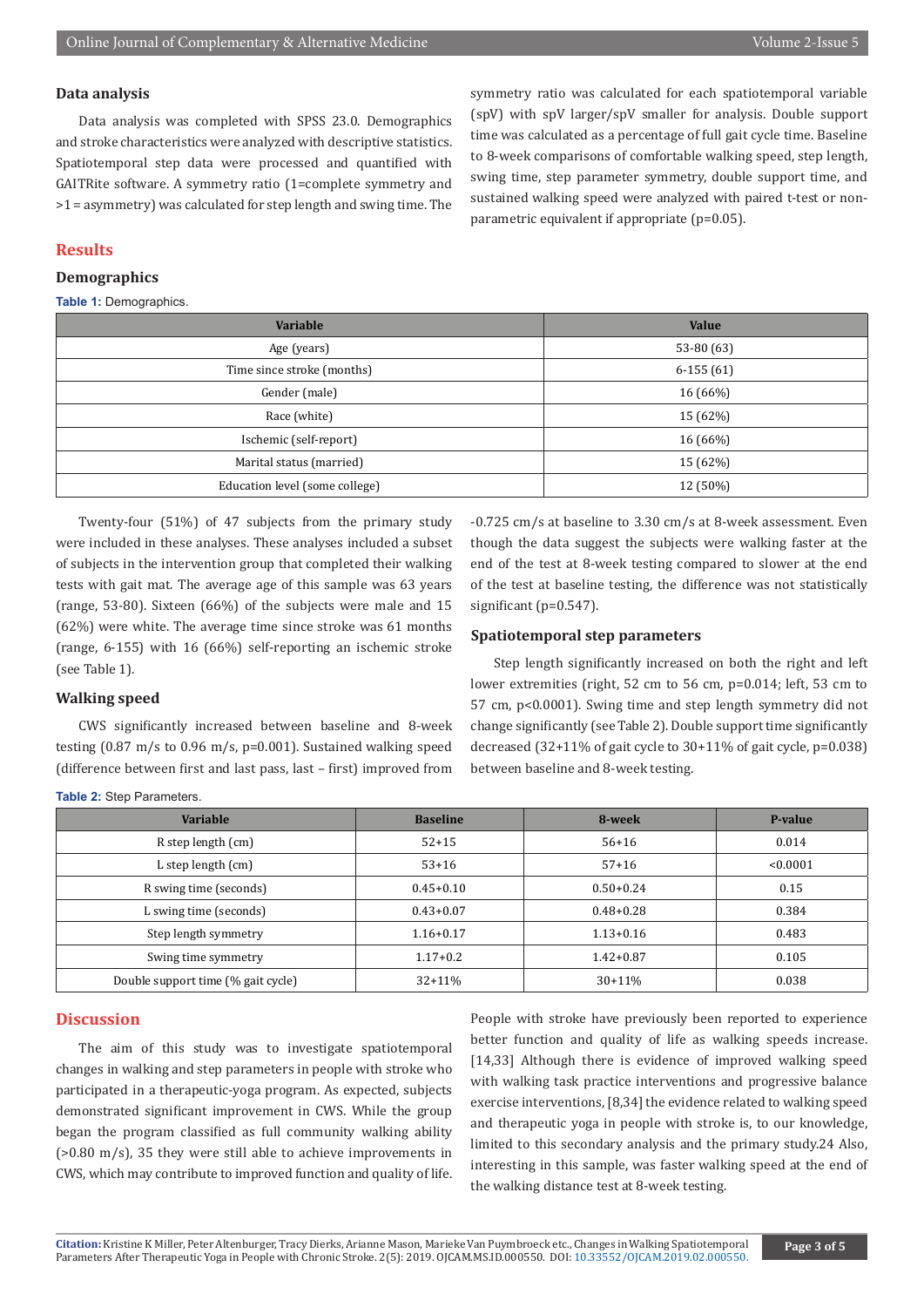#### **Data analysis**

Data analysis was completed with SPSS 23.0. Demographics and stroke characteristics were analyzed with descriptive statistics. Spatiotemporal step data were processed and quantified with GAITRite software. A symmetry ratio (1=complete symmetry and >1 = asymmetry) was calculated for step length and swing time. The symmetry ratio was calculated for each spatiotemporal variable (spV) with spV larger/spV smaller for analysis. Double support time was calculated as a percentage of full gait cycle time. Baseline to 8-week comparisons of comfortable walking speed, step length, swing time, step parameter symmetry, double support time, and sustained walking speed were analyzed with paired t-test or nonparametric equivalent if appropriate (p=0.05).

#### **Results**

#### **Demographics**

#### **Table 1:** Demographics.

| Variable                             | <b>Value</b> |  |
|--------------------------------------|--------------|--|
| Age (years)                          | 53-80 (63)   |  |
| Time since stroke (months)           | $6-155(61)$  |  |
| Gender (male)                        | 16 (66%)     |  |
| Race (white)                         | 15 (62%)     |  |
| Ischemic (self-report)               | 16(66%)      |  |
| Marital status (married)<br>15 (62%) |              |  |
| Education level (some college)       | 12 (50%)     |  |

Twenty-four (51%) of 47 subjects from the primary study were included in these analyses. These analyses included a subset of subjects in the intervention group that completed their walking tests with gait mat. The average age of this sample was 63 years (range, 53-80). Sixteen (66%) of the subjects were male and 15 (62%) were white. The average time since stroke was 61 months (range, 6-155) with 16 (66%) self-reporting an ischemic stroke (see Table 1).

#### **Walking speed**

CWS significantly increased between baseline and 8-week testing (0.87 m/s to 0.96 m/s, p=0.001). Sustained walking speed (difference between first and last pass, last – first) improved from

-0.725 cm/s at baseline to 3.30 cm/s at 8-week assessment. Even though the data suggest the subjects were walking faster at the end of the test at 8-week testing compared to slower at the end of the test at baseline testing, the difference was not statistically significant (p=0.547).

#### **Spatiotemporal step parameters**

Step length significantly increased on both the right and left lower extremities (right, 52 cm to 56 cm, p=0.014; left, 53 cm to 57 cm, p<0.0001). Swing time and step length symmetry did not change significantly (see Table 2). Double support time significantly decreased (32+11% of gait cycle to 30+11% of gait cycle, p=0.038) between baseline and 8-week testing.

| <b>Variable</b>                    | <b>Baseline</b> | 8-week        | P-value  |
|------------------------------------|-----------------|---------------|----------|
| R step length (cm)                 | $52 + 15$       | $56+16$       | 0.014    |
| L step length (cm)                 | $53+16$         | $57+16$       | < 0.0001 |
| R swing time (seconds)             | $0.45 + 0.10$   | $0.50 + 0.24$ | 0.15     |
| L swing time (seconds)             | $0.43 + 0.07$   | $0.48 + 0.28$ | 0.384    |
| Step length symmetry               | $1.16 + 0.17$   | $1.13 + 0.16$ | 0.483    |
| Swing time symmetry                | $1.17+0.2$      | $1.42 + 0.87$ | 0.105    |
| Double support time (% gait cycle) | $32+11%$        | $30+11%$      | 0.038    |

#### **Table 2:** Step Parameters.

#### **Discussion**

The aim of this study was to investigate spatiotemporal changes in walking and step parameters in people with stroke who participated in a therapeutic-yoga program. As expected, subjects demonstrated significant improvement in CWS. While the group began the program classified as full community walking ability (>0.80 m/s), 35 they were still able to achieve improvements in CWS, which may contribute to improved function and quality of life. People with stroke have previously been reported to experience better function and quality of life as walking speeds increase. [14,33] Although there is evidence of improved walking speed with walking task practice interventions and progressive balance exercise interventions, [8,34] the evidence related to walking speed and therapeutic yoga in people with stroke is, to our knowledge, limited to this secondary analysis and the primary study.24 Also, interesting in this sample, was faster walking speed at the end of the walking distance test at 8-week testing.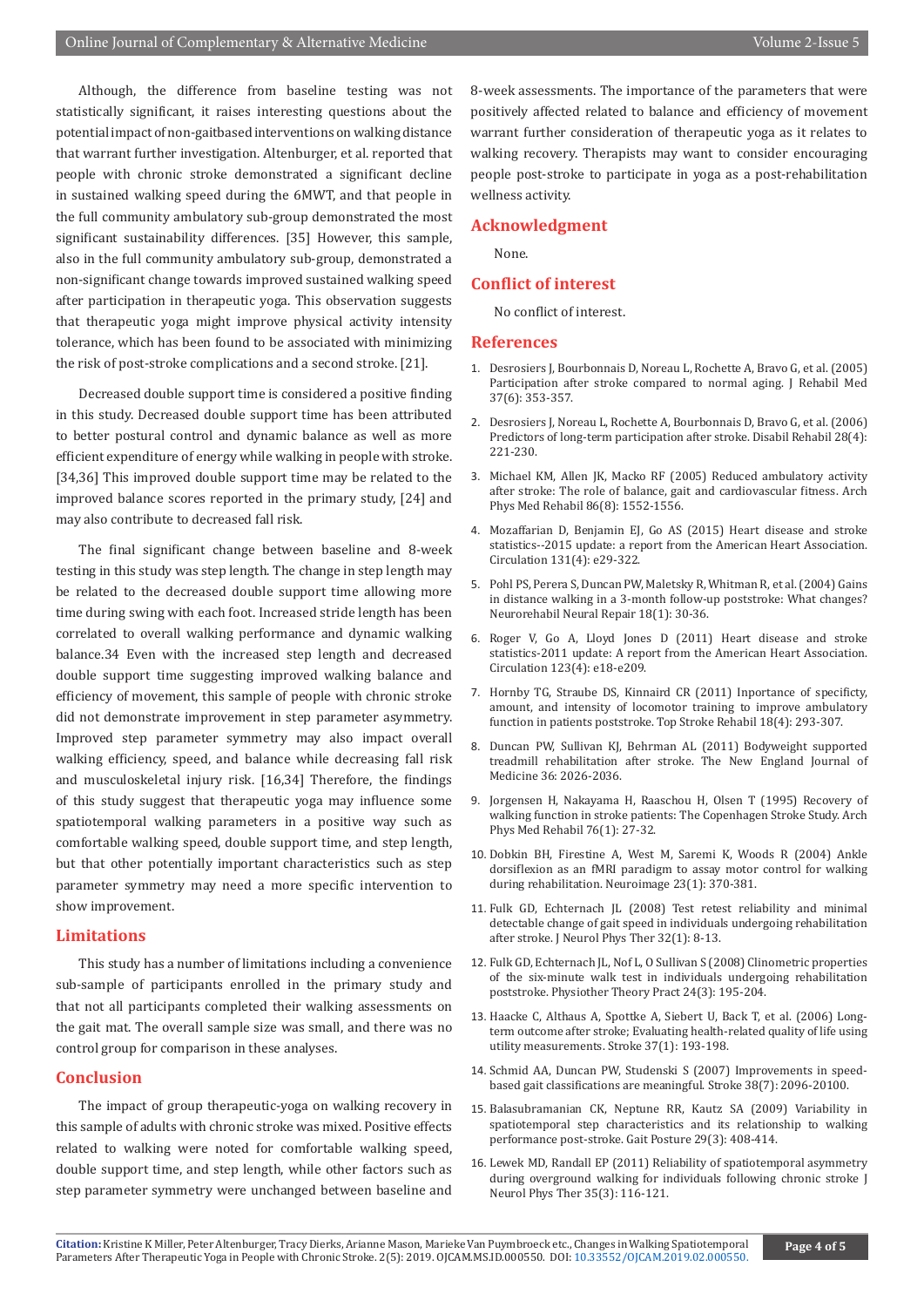Although, the difference from baseline testing was not statistically significant, it raises interesting questions about the potential impact of non-gaitbased interventions on walking distance that warrant further investigation. Altenburger, et al. reported that people with chronic stroke demonstrated a significant decline in sustained walking speed during the 6MWT, and that people in the full community ambulatory sub-group demonstrated the most significant sustainability differences. [35] However, this sample, also in the full community ambulatory sub-group, demonstrated a non-significant change towards improved sustained walking speed after participation in therapeutic yoga. This observation suggests that therapeutic yoga might improve physical activity intensity tolerance, which has been found to be associated with minimizing the risk of post-stroke complications and a second stroke. [21].

Decreased double support time is considered a positive finding in this study. Decreased double support time has been attributed to better postural control and dynamic balance as well as more efficient expenditure of energy while walking in people with stroke. [34,36] This improved double support time may be related to the improved balance scores reported in the primary study, [24] and may also contribute to decreased fall risk.

The final significant change between baseline and 8-week testing in this study was step length. The change in step length may be related to the decreased double support time allowing more time during swing with each foot. Increased stride length has been correlated to overall walking performance and dynamic walking balance.34 Even with the increased step length and decreased double support time suggesting improved walking balance and efficiency of movement, this sample of people with chronic stroke did not demonstrate improvement in step parameter asymmetry. Improved step parameter symmetry may also impact overall walking efficiency, speed, and balance while decreasing fall risk and musculoskeletal injury risk. [16,34] Therefore, the findings of this study suggest that therapeutic yoga may influence some spatiotemporal walking parameters in a positive way such as comfortable walking speed, double support time, and step length, but that other potentially important characteristics such as step parameter symmetry may need a more specific intervention to show improvement.

#### **Limitations**

This study has a number of limitations including a convenience sub-sample of participants enrolled in the primary study and that not all participants completed their walking assessments on the gait mat. The overall sample size was small, and there was no control group for comparison in these analyses.

#### **Conclusion**

The impact of group therapeutic-yoga on walking recovery in this sample of adults with chronic stroke was mixed. Positive effects related to walking were noted for comfortable walking speed, double support time, and step length, while other factors such as step parameter symmetry were unchanged between baseline and

8-week assessments. The importance of the parameters that were positively affected related to balance and efficiency of movement warrant further consideration of therapeutic yoga as it relates to walking recovery. Therapists may want to consider encouraging people post-stroke to participate in yoga as a post-rehabilitation wellness activity.

#### **Acknowledgment**

None.

#### **Conflict of interest**

No conflict of interest.

#### **References**

- 1. [Desrosiers J, Bourbonnais D, Noreau L, Rochette A, Bravo G, et al. \(2005\)](https://www.ncbi.nlm.nih.gov/pubmed/16287666) [Participation after stroke compared to normal aging. J Rehabil Med](https://www.ncbi.nlm.nih.gov/pubmed/16287666) [37\(6\): 353-357.](https://www.ncbi.nlm.nih.gov/pubmed/16287666)
- 2. [Desrosiers J, Noreau L, Rochette A, Bourbonnais D, Bravo G, et al. \(2006\)](https://www.ncbi.nlm.nih.gov/pubmed/16467057) [Predictors of long-term participation after stroke. Disabil Rehabil 28\(4\):](https://www.ncbi.nlm.nih.gov/pubmed/16467057) [221-230.](https://www.ncbi.nlm.nih.gov/pubmed/16467057)
- 3. [Michael KM, Allen JK, Macko RF \(2005\) Reduced ambulatory activity](https://www.ncbi.nlm.nih.gov/pubmed/16084807) [after stroke: The role of balance, gait and cardiovascular fitness. Arch](https://www.ncbi.nlm.nih.gov/pubmed/16084807) [Phys Med Rehabil 86\(8\): 1552-1556.](https://www.ncbi.nlm.nih.gov/pubmed/16084807)
- 4. [Mozaffarian D, Benjamin EJ, Go AS \(2015\) Heart disease and stroke](https://www.ncbi.nlm.nih.gov/pubmed/25520374) [statistics--2015 update: a report from the American Heart Association.](https://www.ncbi.nlm.nih.gov/pubmed/25520374) [Circulation 131\(4\): e29-322.](https://www.ncbi.nlm.nih.gov/pubmed/25520374)
- 5. [Pohl PS, Perera S, Duncan PW, Maletsky R, Whitman R, et al. \(2004\) Gains](https://www.ncbi.nlm.nih.gov/pubmed/15035962) [in distance walking in a 3-month follow-up poststroke: What changes?](https://www.ncbi.nlm.nih.gov/pubmed/15035962) [Neurorehabil Neural Repair 18\(1\): 30-36.](https://www.ncbi.nlm.nih.gov/pubmed/15035962)
- 6. [Roger V, Go A, Lloyd Jones D \(2011\) Heart disease and stroke](https://www.ncbi.nlm.nih.gov/pubmed/21160056) [statistics-2011 update: A report from the American Heart Association.](https://www.ncbi.nlm.nih.gov/pubmed/21160056) [Circulation 123\(4\): e18-e209.](https://www.ncbi.nlm.nih.gov/pubmed/21160056)
- 7. [Hornby TG, Straube DS, Kinnaird CR \(2011\) Inportance of specificty,](https://www.ncbi.nlm.nih.gov/pubmed/21914594) [amount, and intensity of locomotor training to improve ambulatory](https://www.ncbi.nlm.nih.gov/pubmed/21914594) [function in patients poststroke. Top Stroke Rehabil 18\(4\): 293-307.](https://www.ncbi.nlm.nih.gov/pubmed/21914594)
- 8. Duncan PW, Sullivan KJ, Behrman AL (2011) Bodyweight supported treadmill rehabilitation after stroke. The New England Journal of Medicine 36: 2026-2036.
- 9. [Jorgensen H, Nakayama H, Raaschou H, Olsen T \(1995\) Recovery of](https://www.ncbi.nlm.nih.gov/pubmed/7811170) [walking function in stroke patients: The Copenhagen Stroke Study. Arch](https://www.ncbi.nlm.nih.gov/pubmed/7811170) [Phys Med Rehabil 76\(1\): 27-32.](https://www.ncbi.nlm.nih.gov/pubmed/7811170)
- 10. [Dobkin BH, Firestine A, West M, Saremi K, Woods R \(2004\) Ankle](https://www.ncbi.nlm.nih.gov/pubmed/15325385) [dorsiflexion as an fMRI paradigm to assay motor control for walking](https://www.ncbi.nlm.nih.gov/pubmed/15325385) [during rehabilitation. Neuroimage 23\(1\): 370-381.](https://www.ncbi.nlm.nih.gov/pubmed/15325385)
- 11. [Fulk GD, Echternach JL \(2008\) Test retest reliability and minimal](https://www.ncbi.nlm.nih.gov/pubmed/18463550) [detectable change of gait speed in individuals undergoing rehabilitation](https://www.ncbi.nlm.nih.gov/pubmed/18463550) [after stroke. J Neurol Phys Ther 32\(1\): 8-13.](https://www.ncbi.nlm.nih.gov/pubmed/18463550)
- 12. Fulk GD, Echternach IL, Nof L, O Sullivan S (2008) Clinometric properties [of the six-minute walk test in individuals undergoing rehabilitation](https://www.ncbi.nlm.nih.gov/pubmed/18569856) [poststroke. Physiother Theory Pract 24\(3\): 195-204.](https://www.ncbi.nlm.nih.gov/pubmed/18569856)
- 13. [Haacke C, Althaus A, Spottke A, Siebert U, Back T, et al. \(2006\) Long](https://www.ncbi.nlm.nih.gov/pubmed/16339458)[term outcome after stroke; Evaluating health-related quality of life using](https://www.ncbi.nlm.nih.gov/pubmed/16339458) [utility measurements. Stroke 37\(1\): 193-198.](https://www.ncbi.nlm.nih.gov/pubmed/16339458)
- 14. [Schmid AA, Duncan PW, Studenski S \(2007\) Improvements in speed](https://www.ncbi.nlm.nih.gov/pubmed/17510461)[based gait classifications are meaningful. Stroke 38\(7\): 2096-20100.](https://www.ncbi.nlm.nih.gov/pubmed/17510461)
- 15. [Balasubramanian CK, Neptune RR, Kautz SA \(2009\) Variability in](https://www.ncbi.nlm.nih.gov/pubmed/19056272) [spatiotemporal step characteristics and its relationship to walking](https://www.ncbi.nlm.nih.gov/pubmed/19056272) [performance post-stroke. Gait Posture 29\(3\): 408-414.](https://www.ncbi.nlm.nih.gov/pubmed/19056272)
- 16. [Lewek MD, Randall EP \(2011\) Reliability of spatiotemporal asymmetry](https://www.ncbi.nlm.nih.gov/pubmed/21934372) [during overground walking for individuals following chronic stroke J](https://www.ncbi.nlm.nih.gov/pubmed/21934372) [Neurol Phys Ther 35\(3\): 116-121.](https://www.ncbi.nlm.nih.gov/pubmed/21934372)